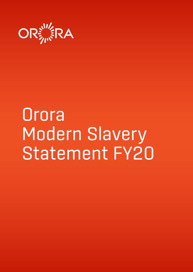

# **Orora** Modern Slavery Statement FY20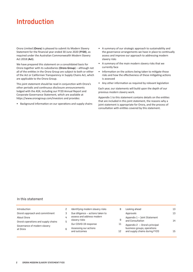### Introduction

Orora Limited (**Orora**) is pleased to submit its Modern Slavery Statement for the financial year ended 30 June 2020 (**FY20**), as required under the Australian Commonwealth Modern Slavery Act 2018 (**Act**).

We have prepared this statement on a consolidated basis for Orora together with its subsidiaries (**Orora Group**) – although not all of the entities in the Orora Group are subject to both or either of the Act or Californian Transparency in Supply Chains Act, which are applicable to the Orora Group.

This joint statement should be read in conjunction with Orora's other periodic and continuous disclosure announcements lodged with the ASX, including our FY20 Annual Report and Corporate Governance Statement, which are available at https://www.ororagroup.com/investors and provides:

• Background information on our operations and supply chains

- A summary of our strategic approach to sustainability and the governance arrangements we have in place to continually assess and improve our approach to addressing modern slavery risks
- A summary of the main modern slavery risks that we currently face
- Information on the actions being taken to mitigate those risks and how the effectiveness of these mitigating actions is assessed
- Any other information as required by relevant legislation

Each year, our statements will build upon the depth of our previous modern slavery work.

Appendix 1 to this statement contains details on the entities that are included in this joint statement, the reasons why a joint statement is appropriate for Orora, and the process of consultation with entities covered by this statement.

#### In this statement

| Introduction                             | Identifying modern slavery risks               | 8  | Looking ahead                                                 | 13 |
|------------------------------------------|------------------------------------------------|----|---------------------------------------------------------------|----|
| Orora's approach and commitment          | Due diligence – actions taken to               |    | Approvals                                                     | 13 |
| About Orora                              | assess and address modern                      | 9  | Appendix 1 - Joint Statement<br>and Consultation              | 14 |
| Orora's operations and supply chains     | slavery risks                                  |    |                                                               |    |
| Governance of modern slavery<br>at Orora | Our COVID-19 response<br>Assessing our actions | 11 | Appendix 2 - Orora's principal<br>business groups, operations |    |
|                                          | and outcomes                                   | 12 | and supply chains during FY20                                 | 15 |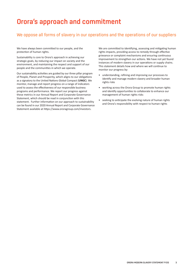### Orora's approach and commitment

#### We oppose all forms of slavery in our operations and the operations of our suppliers

We have always been committed to our people, and the protection of human rights.

Sustainability is core to Orora's approach in achieving our strategic goals, by reducing our impact on society and the environment, and maintaining the respect and support of our people and the communities in which we operate.

Our sustainability activities are guided by our three pillar program of People, Planet and Prosperity, which aligns to our obligations as a signatory to the United Nations Global Compact (**UNGC**). We monitor, manage and report progress on a range of indicators used to assess the effectiveness of our responsible business programs and performance. We report our progress against these metrics in our Annual Report and Corporate Governance Statement, which should be read in conjunction with this statement. Further information on our approach to sustainability can be found in our 2020 Annual Report and Corporate Governance Statement available at https://www.ororagroup.com/investors.

We are committed to identifying, assessing and mitigating human rights impacts, providing access to remedy through effective grievance or complaint mechanisms and ensuring continuous improvement to strengthen our actions. We have not yet found instances of modern slavery in our operations or supply chains. This statement details how and where we will continue to monitor our progress by:

- understanding, refining and improving our processes to identify and manage modern slavery and broader human rights risks
- working across the Orora Group to promote human rights and identify opportunities to collaborate to enhance our management of human rights risks
- seeking to anticipate the evolving nature of human rights and Orora's responsibility with respect to human rights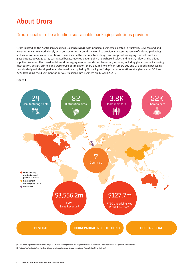# About Orora

# Orora's goal is to be a leading sustainable packaging solutions provider

Orora is listed on the Australian Securities Exchange (ASX), with principal businesses located in Australia, New Zealand and North America. We work closely with our customers around the world to provide an extensive range of tailored packaging and visual communications solutions. These include the manufacture, design and supply of packaging products such as<br>end with a street in the manufacture of the manufacture, design and supply of packaging products such as glass bothes, beverage cans, corrugated boxes, recycled paper, point or purchase displays and nearm, sarety and racilities<br>supplies. We also offer broad end-to-end packaging solutions and complementary services, including distribution, design, printing and warehouse optimisation. Every day, millions of consumers buy and use goods in packaging proudly designed, developed, manufactured or supplied by Orora. Figure 1 depicts our operations at a glance as at 30 June<br>2000 (10 June 10 June 10 June 10 June 10 June 10 June 2000) 2020 (excluding the divestment of our Australasian Fibre Business on 30 April 2020). glass bottles, beverage cans, corrugated boxes, recycled paper, point of purchase displays and health, safety and facilities

#### proved, designed, and designed, produced or supplied by  $\mathcal{A}$ **Figure 1**



(1) Excludes a significant item expense of \$137.2 million relating to restructuring activities and recoverable asset impairment charges in North America (2) Net profit after tax before significant items and including discontinued operations (Australasian Fibre Business)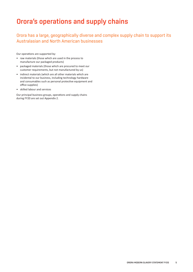### Orora's operations and supply chains

Orora has a large, geographically diverse and complex supply chain to support its Australasian and North American businesses

Our operations are supported by:

- raw materials (those which are used in the process to manufacture our packaged products)
- packaged materials (those which are procured to meet our customer requirements, but not manufactured by us)
- indirect materials (which are all other materials which are incidental to our business, including technology hardware and consumables such as personal protective equipment and office supplies)
- skilled labour and services

Our principal business groups, operations and supply chains during FY20 are set out Appendix 2.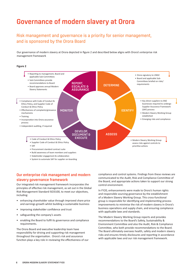### Governance of modern slavery at Orora

#### Risk management and governance is a priority for senior management, and is sponsored by the Orora Board

Our governance of modern slavery at Orora depicted in figure 2 and described below aligns with Orora's enterprise risk management framework



• System to automate SAF for supplier on-boarding

#### Our enterprise risk management and modern slavery governance framework

Our integrated risk management framework incorporates the principles of effective risk management, as set out in the Global Risk Management Standard ISO3100, to meet our objectives, including:

- enhancing shareholder value through improved share price and earnings growth whilst building a sustainable business
- improving stakeholder confidence and trust
- safeguarding the company's assets
- enabling the Board to fulfil its governance and compliance requirements.

The Orora Board and executive leadership team have responsibility for driving and supporting risk management throughout the organisation. Orora's risk and assurance function plays a key role in reviewing the effectiveness of our compliance and control systems. Findings from these reviews are communicated to the Audit, Risk and Compliance Committee of the Board, and appropriate actions taken to support our strong control environment.

In FY20, enhancements were made to Orora's human rights and responsible sourcing governance by the establishment of a Modern Slavery Working Group. This cross-functional group is responsible for identifying and implementing process improvements to minimise the risk of modern slavery in Orora's business operations and supply chain, and ensuring compliance with applicable laws and standards.

The Modern Slavery Working Group reports and provides recommendations to the Board's Safety, Sustainability & Environment Committee and also the Audit, Risk & Compliance Committee, who both provide recommendations to the Board. The Board ultimately oversees health, safety and modern slavery risks and ensures timely disclosures and reporting in accordance with applicable laws and our risk management framework.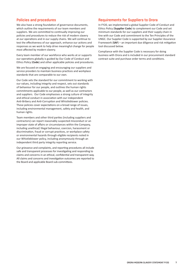#### Policies and procedures

We also have a strong foundation of governance documents, which outline the requirements of our team members and suppliers. We are committed to continually improving our policies and procedures to reduce the risk of modern slavery at our operations and in our supply chains. We will continue to test the effectiveness of our approach, enhance our actions and responses as we work to help drive meaningful change for people most affected by modern slavery.

Every team member of our workforce who works at or supports our operations globally is guided by Our Code of Conduct and Ethics Policy (**Code**) and other applicable policies and procedures.

We are focused on engaging and encouraging our suppliers and service providers to maintain business practices and workplace standards that are comparable to our own.

Our Code sets the standard for our commitment to working with our values, including integrity and respect, sets out standards of behaviour for our people, and outlines the human rights commitments applicable to our people, as well as our contractors and suppliers. Our Code emphasises a strong culture of integrity and ethical conduct in association with our independent Anti-Bribery and Anti-Corruption and Whistleblower policies. These policies cover expectations on a broad range of issues, including environmental management, safety and health, and human rights.

Team members and other third parties (including suppliers and contractors) can report reasonably suspected misconduct or an improper state of affairs or circumstances within the Company, including unethical/ illegal behaviour, coercion, harassment or discrimination, fraud or corrupt practices, or workplace safety or environmental hazards through eligible recipients noted in our Whistleblower policy, including anonymously through an independent third party integrity reporting service.

Our grievance and complaints, and reporting procedures all include safe and transparent processes for investigating and responding to claims and concerns in an ethical, confidential and transparent way. All claims and concerns and investigation outcomes are reported to the Board and applicable Board sub-committees.

#### Requirements for Suppliers to Orora

In FY20, we implemented a global Supplier Code of Conduct and Ethics Policy (**Supplier Code**) to complement our Code and set minimum standards for our suppliers and their supply chain in line with our Code and commitment to the Ten Principles of the UNGC. Our Supplier Code is supported by our Supplier Assurance Framework (**SAF**) – an important due diligence and risk mitigation tool discussed below.

Compliance with the Supplier Code is necessary for doing business with Orora and is included in our procurement standard contract suite and purchase order terms and conditions.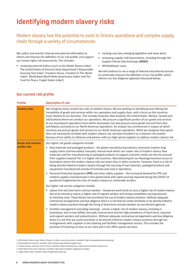### Identifying modern slavery risks

### Modern slavery has the potential to exist in Orora's operations and complex supply chain through a variety of circumstances

We collect and monitor internal and external information to inform and improve the definition of our risk profile, and support our human rights risk assessments. This includes:

- reviewing external indices (such as the Global Slavery Index<sup>1</sup>, The United States of America State Department's Responsible Sourcing Tool Index<sup>2</sup>, Freedom House, Freedom In The World Index<sup>3</sup>, World Bank World Wide Governance Index<sup>4</sup> and The Fund for Peace, Fragile States Index<sup>5</sup>)
- tracking case law, emerging legislation and news alerts
- reviewing supplier self-assessments, including through the Supplier Ethical Data Exchange (**SEDEX**)
- Whistleblower cases.

We will continue to use a range of internal and external sources to continually improve the definition of our risk profile, which informs our due diligence approach discussed below.

| <b>Profile</b>                             | <b>Descriptor of risk</b>                                                                                                                                                                                                                                                                                                                                                                                                                                                                                                                                                                                                                                                                                                                                                                                                                                                                                                                                                                             |
|--------------------------------------------|-------------------------------------------------------------------------------------------------------------------------------------------------------------------------------------------------------------------------------------------------------------------------------------------------------------------------------------------------------------------------------------------------------------------------------------------------------------------------------------------------------------------------------------------------------------------------------------------------------------------------------------------------------------------------------------------------------------------------------------------------------------------------------------------------------------------------------------------------------------------------------------------------------------------------------------------------------------------------------------------------------|
| <b>Country risks</b>                       | We recognise every country has risks of modern slavery. We are working on identifying and refining the<br>traceability of goods and services within our operations and supply chain, with a focus on the countries<br>most relevant to our business. This includes Australia, New Zealand, the United States, Mexico, Canada and<br>UK/Scotland where we conduct our operations. We procure a significant portion of our goods and services<br>to our Australasian operations from within Australasia, but also procure some goods sourced from Asia<br>and Mexico, primarily to our North American operations. An analysis has commenced in respect of which<br>countries we procure goods and services to our North American operations. While we recognise that spend<br>does not necessarily correlate with modern slavery risk, we have included it as a relevant risk analytic<br>because of our ability to influence and partner with our high-spend suppliers to address modern slavery risk. |
| <b>Goods and services</b><br>profile risks | Our higher risk goods categories include:                                                                                                                                                                                                                                                                                                                                                                                                                                                                                                                                                                                                                                                                                                                                                                                                                                                                                                                                                             |
|                                            | Raw materials and packaged products - the global manufacturing industry commonly involves long<br>$\bullet$<br>supply chains and low-skilled, low-paid, manual work which can create risks of modern slavery. Raw<br>materials used for manufacturing or packaged products to support customer needs can also be sourced<br>from suppliers beyond Tier 1 in higher risk countries. Manufacturing for our Beverage business occurs in<br>Australasia where the modern slavery risks are lower than in other countries. However, there is a risk of<br>being directly linked to modern slavery through the sourcing of raw materials, packaged products and<br>equipment manufactured outside of Australia and used in operations.                                                                                                                                                                                                                                                                      |
|                                            | • Personal Protective Equipment (PPE) and other safety supplies - the increased demand for PPE and<br>medical supplies manufactured in Asia (particularly with rapid sourcing required during the COVID-19<br>pandemic) heightened the risks of modern slavery on vulnerable workers.                                                                                                                                                                                                                                                                                                                                                                                                                                                                                                                                                                                                                                                                                                                 |
|                                            | Our higher risk service categories include:                                                                                                                                                                                                                                                                                                                                                                                                                                                                                                                                                                                                                                                                                                                                                                                                                                                                                                                                                           |
|                                            | • Labour hire and short term contract workers - temporary work tends to carry a higher risk of modern slavery<br>due to its transitory nature, a higher rate of migrant workers and strong competition causing pressure<br>to minimise costs. These factors can incentivise the use of modern slavery practices. Without adequate<br>contractual arrangements and due diligence there is a risk that we could contribute or be directly linked to<br>modern slavery practices through the hiring of short-term contract workers via recruitment agencies.                                                                                                                                                                                                                                                                                                                                                                                                                                             |
|                                            | Facilities management (including cleaning) - carries a higher risk of modern slavery, including in<br>$\bullet$<br>Australasia, due to low-skilled, low-paid, manual work and the high prevalence of short-term, seasonal<br>and migrant workers and subcontractors. Without adequate contractual arrangements and due diligence<br>there is a risk that we could contribute or be directly linked to modern slavery practices through our<br>arrangements with suppliers in the cleaning and facilities management sectors. This includes the<br>provision of cleaning services at our sites and in the office spaces we lease.                                                                                                                                                                                                                                                                                                                                                                      |
|                                            |                                                                                                                                                                                                                                                                                                                                                                                                                                                                                                                                                                                                                                                                                                                                                                                                                                                                                                                                                                                                       |

#### Our current risk profile

<sup>1 2018</sup> Global Slavery Index, Modern Slavery: A hidden, every day problem. Available: https://www.globalslaveryindex.org/

<sup>2</sup> Responsible Sourcing Tool. Available: https://www.responsiblesourcingtool.org/

<sup>3</sup> Freedom House, Countries and Territories. Available: https://freedomhouse.org/countries/freedom-world/scores

<sup>4</sup> World Wide Governance Indicators. Available: http://info.worldbank.org/governance/wgi/

<sup>5</sup> Fragile States Index. Available: https://fragilestatesindex.org/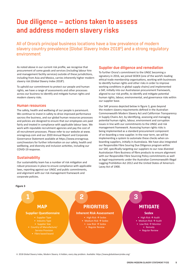## Due diligence — actions taken to assess and address modern slavery risks

All of Orora's principal business locations have a low prevalence of modern slavery country prevalence [Global Slavery Index 2018<sup>6</sup>] and a strong regulatory environment

As noted above in our current risk profile, we recognise that procurement of some goods and services (including labour hire and management facility services) outside of these jurisdictions, including from Asia and Mexico, carries inherently higher modern slavery risk (Global Slavery Index 2018<sup>6</sup>).

To uphold our commitment to protect our people and human rights, we have a range of assessments and other processes across our business to identify and mitigate human rights and modern slavery risks.

#### Human resources

The safety, health and wellbeing of our people is paramount. We continue to invest in safety to drive improved performance sacross the business, and our global human resources processes and policies are designed to ensure that our employees are paid fairly and treated in compliance with applicable labour laws. We work with reputable recruitment agencies and pay the cost of all recruitment processes. Please refer to our website at www. ororagroup.com and our 2020 Annual Report and Corporate Governance Statement available at https://www.ororagroup. com/investors for further information on our safety, health and wellbeing, and diversity and inclusion activities, including our COVID-19 response.

#### **Sustainability**

Our sustainability team has a number of risk mitigation and robust processes in place to ensure compliance with applicable laws, reporting against our UNGC and public commitments, and alignment with our risk management framework and corporate policies.

#### Supplier due diligence and remediation

To further Orora's commitment to the UNGC becoming a signatory in 2016, we joined SEDEX (one of the world's leading ethical trade membership organisations, working with businesses to identify human rights and other risks in order to improve working conditions in global supply chains) and implemented a SAF, initially into our Australasian procurement framework, aligned to our risk profile, to identify and mitigate potential human rights, labour, environmental, and governance risks within our supplier base.

Our SAF process depicted below in figure 3, goes beyond the modern slavery requirements defined in the Australian Commonwealth Modern Slavery Act and Californian Transparency in Supply Chains Act, by identifying, assessing and managing potential human rights, labour, environment and corruption issues in line with our commitments to the UNGC and risk management framework. Assessing human rights risks is being implemented as a standard procurement component of on-boarding a new supplier. In the near term, we will be implementing a system to automate these checks when onboarding suppliers, initially in Australasia. We have also integrated our Responsible Fibre Souring Due Diligence program within our SAF, specifically targeting our suppliers to our now divested Australasian Fibre Business of fibre products to ensure alignment with our Responsible Fibre Sourcing Policy commitments as well as legal requirements under the Australian Commonwealth Illegal Logging Prohibition Act 2012 and the United States of America's Lacey Act of 1900.

#### **Figure 3**



6 2018 Global Slavery Index, Modern Slavery: A hidden, every day problem. Available: https://www.globalslaveryindex.org/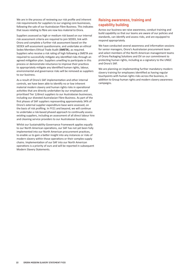We are in the process of reviewing our risk profile and inherent risk requirements for suppliers to our ongoing core businesses, following the sale of our Australasian Fibre Business. This indicates that issues relating to fibre are now less material to Orora.

Suppliers assessed as high or medium risk based on our internal risk assessment criteria are required to join SEDEX, link with Orora and complete a further risk assessment based on the SEDEX self-assessment questionnaire, and undertake an ethical Sedex Members Ethical Trade Audit (**SMETA**), as required. Suppliers who receive a risk rating of high following a SMETA are required to successfully mitigate any identified risks through an agreed mitigation plan. Suppliers unwilling to participate in this process or demonstrate reluctance to improve their practices to appropriately mitigate any identified human rights, labour, environmental and governance risks will be removed as suppliers to our business.

As a result of Orora's SAF implementation and other internal controls, we have been able to identify no or low inherent material modern slavery and human rights risks in operational activities that are directly undertaken by our employees and prioritised Tier 1/direct suppliers to our Australasian businesses, including our divested Australasian Fibre Business. As part of the first phases of SAF suppliers representing approximately 34% of Orora's external supplier expenditure base were assessed, on the basis of risk profiling. In FY21 and beyond, we will continue to undertake a risk-based phased approach to continually assess existing suppliers, including an assessment of all direct labour hire and cleaning service providers to our Australasian business.

Whilst our Sustainability Governance Framework applies equally to our North American operations, our SAF has not yet been fully implemented into our North American procurement practices, to enable us to gain a better insight into any instances or risks of modern slavery within those operations or their complex supply chains. Implementation of our SAF into our North American operations is a priority of ours and will be reported in subsequent Modern Slavery Statements.

#### Raising awareness, training and capability building

Across our business we raise awareness, conduct training and build capability so that our teams are aware of our policies and standards, can identify and assess risks, and are equipped to respond appropriately.

We have conducted several awareness and information sessions for senior managers, Orora's Australasian procurement team and select members of the North American management teams of Orora Packaging Solutions and OV on our commitment to protecting human rights, including as a signatory to the UNGC and Orora's SAF.

We are planning on implementing further mandatory modern slavery training for employees identified as having regular touchpoints with human rights risks across the business, in addition to Group human rights and modern slavery awareness campaigns.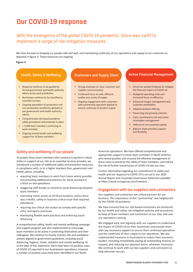### Our COVID-19 response

### With the emergence of the global COVID-19 pandemic, Orora was swift to implement a range of risk mitigation measures

We have focused on keeping our people safe and well, and maintaining continuity of our operations and supply to our customers as depicted in figure 4. These measures are ongoing.

#### **Figure 4**

#### Health, Safety & Wellbeing Customers and Supply Chain Active Financial Management

- Response continues to be guided by formal government and health authority advice across each jurisdiction
- Businesses continue to be classified as essential services
- Ongoing separation of production and non-production workforces globally as per government and health authority advice
- Comprehensive site based pandemic safety procedures and protocols in place
- > 2,000 team members continuing to work remotely
- Ongoing mental health and wellbeing support for all team members

- Strong emphasis on clear customer and supplier communication
- Continued focus on safe, efficient, quality and surety of supply
- Ongoing engagement with customers with partnership approach applied to ensure continuity of product supply

- Orora has worked tirelessly to mitigate the financial impact of COVID-19
- Realigned operating costs and increased focus on efficiency
- Enhanced margin management and customer profitability
- Adapted product offering
- Preserving and growing volumes
- Cash, counterparty risk and active receivables management
- Deferral of non-essential capital
- Balance sheet provides support and flexibility

#### Safety and wellbeing of our people

To protect Orora team members who continue to perform critical duties in support of our role as an essential services provider, we introduced a number of additional safety and protective measures in compliance with, or to a higher standard than, government and health advice, including:

- requiring team members to work from home where possible and providing additional protection for those involved in critical on-site operations
- staggering shift breaks to maximise social distancing between team members
- restricting visitor access at all Orora locations unless there was a health, safety or business critical issue that required attendance
- requiring any critical site visitors to comply with specific entry and egress processes
- developing flexible work practices and enforcing social distancing.

A comprehensive safety, health and mental wellbeing campaign and support program was also implemented to encourage team members to be active in protecting themselves and their colleagues. We continue to closely monitor site and workplace activity aligned to government guidelines, including social distancing, hygiene, travel, visitation and mental wellbeing. As at the date of this statement, there have been no positive cases of COVID-19 reported in our Australasian operations, however a number of positive cases have been identified in our North

American operations. We have offered comprehensive and appropriate support to those team members in North America who tested positive and ensured the effective management of those cases to preserve the safety of team members, and reduce the risk of further transmission of COVID-19 into our sites.

Further information regarding our commitment to safety and health and our response to COVID-19 is set out in our 2020 Annual Report and Corporate Governance Statement available at https://www.ororagroup.com/investors.

#### Engagement with our suppliers and contractors

Our suppliers and contractors are critical partners for our business. The importance of this "partnership" was heightened by the COVID-19 pandemic.

We have ensured that our site-based contractors are protected by our health and safety risk mitigation policies and procedures to keep all team members and contractors at our sites safe and our operations running.

We engaged early and regularly with our suppliers to understand the impact of COVID-19 on their businesses and provide them with any necessary support to ensure their continued operations and the continuity of their supply to our operations. We also implemented measures in Australasia to reduce their economic burden, including immediately paying all outstanding invoices on request, and reducing our payment terms, wherever necessary. We continue to work with our key suppliers and contractors to help wherever we can.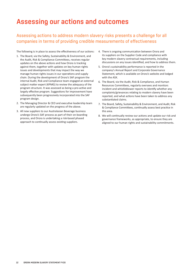### Assessing our actions and outcomes

### Assessing actions to address modern slavery risks presents a challenge for all companies in terms of providing credible measurements of effectiveness

The following is in place to assess the effectiveness of our actions:

- 1. The Board, via the Safety, Sustainability & Environment, and the Audit, Risk & Compliance Committees, receives regular updates on the above actions and how Orora is tracking against them, together with updates on key human rights issues and developments that may impact the way we manage human rights issues in our operations and supply chain. During the development of Orora's SAF program the internal Audit, Risk and Compliance team engaged an external subject matter expert (KPMG) to review the adequacy of the program structure. It was assessed as being a pro-active and largely effective program. Suggestions for improvement have subsequently been progressively incorporated into the SAF program design.
- 2. The Managing Director & CEO and executive leadership team are regularly updated on the progress of the above.
- 3. All new suppliers to our Australasian Beverage business undergo Orora's SAF process as part of their on-boarding process, and Orora is undertaking a risk-based phased approach to continually assess existing suppliers.
- 4. There is ongoing communication between Orora and its suppliers on the Supplier Code and compliance with key modern slavery contractual requirements, including discussions on any issues identified, and how to address them.
- 5. Orora's sustainability performance is reported in the company's Annual Report and Corporate Governance Statement, which is available on Orora's website and lodged with the ASX.
- 6. The Board, via the Audit, Risk & Compliance, and Human Resources Committees, regularly oversees and monitors incident and whistleblower reports to identify whether any complaints/grievances relating to modern slavery have been reported, and what actions have been taken to address any substantiated claims.
- 7. The Board, Safety, Sustainability & Environment, and Audit, Risk & Compliance Committees, continually assess best practice in this area.
- 8. We will continually review our actions and update our risk and governance frameworks, as appropriate, to ensure they are aligned to our human rights and sustainability commitments.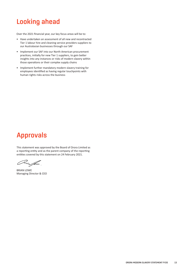#### Looking ahead LUUNIIY AIIGAU Board on 2 September 2019 and has been

Over the 2021 financial year, our key focus areas will be to:

- Have undertaken an assessment of all new and recontracted Tier 1 labour hire and cleaning service providers suppliers to our Australasian businesses through our SAF  $\blacksquare$  - Have undertaken an assessmen
- Implement our SAF into our North American procurement practices, initially for new Tier 1 suppliers, to gain better precises, initially tended the The Board photo; to gain sected<br>insights into any instances or risks of modern slavery within magnes med any instances or risks or modern side<br>those operations or their complex supply chains  $\bullet$  -implement ou chose operations or their complex st
- Implement further mandatory modern slavery training for mplement rattice manageer  $\gamma$  modern slavery training regular touch points with human rights risks across the business Looking ahead

#### **Approvals** Annrovale

This statement was approved by the Board of Orora Limited as a reporting entity and as the parent company of the reporting entities covered by this statement on 24 February 2021.

<u>Hin Jam</u>

BRIAN LOWE BRIAN LOWE **Managing Director & CEO Chief Executive Officer** Chief Chief Chief Chief Chief Chief Chief Chief Chief Chief Chief Chief Chief Chief Chi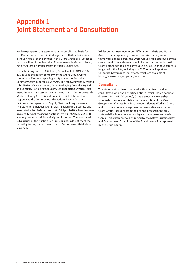### Appendix 1 Joint Statement and Consultation

We have prepared this statement on a consolidated basis for the Orora Group (Orora Limited together with its subsidiaries) – although not all of the entities in the Orora Group are subject to both or either of the Australian Commonwealth Modern Slavery Act or Californian Transparency in Supply Chains Act.

The submitting entity is ASX listed, Orora Limited (ABN 55 004 275 165) as the parent company of the Orora Group. Orora Limited qualifies as a reporting entity under the Australian Commonwealth Modern Slavery Act. The following wholly owned subsidiaries of Orora Limited, Orora Packaging Australia Pty Ltd and Specialty Packaging Group Pty Ltd (**Reporting Entities**), also meet the reporting test set out in the Australian Commonwealth Modern Slavery Act. This statement is a joint statement and responds to the Commonwealth Modern Slavery Act and Californian Transparency in Supply Chains Act requirements. This statement includes Orora's Australasian Fibre Business and associated subsidiaries up and until 30 April 2020, when they was divested to Opal Packaging Australia Pty Ltd (ACN 636 682 883), a wholly owned subsidiary of Nippon Paper Inc. The associated subsidiaries of the Australasian Fibre Business do not meet the reporting testing under the Australian Commonwealth Modern Slavery Act.

Whilst our business operations differ in Australasia and North America, our corporate governance and risk management framework applies across the Orora Group and is approved by the Orora Board. This statement should be read in conjunction with Orora's other periodic and continuous disclosure announcements lodged with the ASX, including our FY20 Annual Report and Corporate Governance Statement, which are available at https://www.ororagroup.com/investors.

#### **Consultation**

This statement has been prepared with input from, and in consultation with, the Reporting Entities (which shared common directors for the FY20 period), Orora's executive leadership team (who have responsibility for the operation of the Orora Group), Orora's cross-functional Modern Slavery Working Group and cross-functional management representatives across the Orora Group, including from the finance, procurement, risk, sustainability, human resources, legal and company secretariat teams. This statement was endorsed by the Safety, Sustainability and Environment Committee of the Board before final approval by the Orora Board.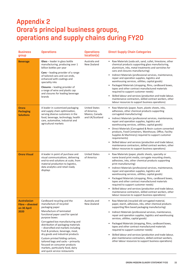## Appendix 2 Orora's principal business groups, operations and supply chains during FY20

| <b>Business</b><br>group                                       | <b>Operations</b>                                                                                                                                                                                                 | <b>Operations</b><br>location[s]                                         | <b>Direct Supply Chain Categories</b>                                                                                                                                                                   |  |  |
|----------------------------------------------------------------|-------------------------------------------------------------------------------------------------------------------------------------------------------------------------------------------------------------------|--------------------------------------------------------------------------|---------------------------------------------------------------------------------------------------------------------------------------------------------------------------------------------------------|--|--|
| <b>Beverage</b>                                                | Glass - leader in glass bottle<br>manufacturing, producing over 1<br>billion bottles per year                                                                                                                     | Australia and<br>New Zealand                                             | Raw Materials (soda ash, sand, cullet, limestone, other<br>chemical products supporting glass manufacturing,<br>aluminium, inks, metal treatments and varnishes for<br>cans and closures manufacturing) |  |  |
|                                                                | <b>Cans</b> – leading provider of a range<br>of tailored cans and can-ends,<br>enhanced with coatings and<br>speciality inks                                                                                      |                                                                          | Indirect Materials (professional services, maintenance,<br>$\bullet$<br>repair and operation supplies, logistics and<br>warehousing services, utilities, capital goods)                                 |  |  |
|                                                                | <b>Closures</b> – leading provider of<br>a range of wine and plastic cap<br>and closures for leading beverage                                                                                                     |                                                                          | Packaged Materials (strapping, films, cardboard boxes,<br>$\bullet$<br>tapes and other contract manufactured materials<br>required to support customer needs)                                           |  |  |
|                                                                | brands                                                                                                                                                                                                            |                                                                          | Skilled labour and services (production and trade labour,<br>maintenance contractors, skilled contract workers, other<br>labour resources to support business operations)                               |  |  |
| Orora<br><b>Packaging</b><br><b>Solutions</b>                  | A leader in customised packaging<br>and supply chain optimisation,<br>serving diverse customers in the                                                                                                            | <b>United States</b><br>of America,<br>Mexico, Canada<br>and UK/Scotland | Raw Materials (paper, foam, plastic sheets, inks,<br>adhesives, other chemical products supporting<br>corrugated manufacturing)                                                                         |  |  |
|                                                                | food, beverage, technology, health<br>care, automotive, industrial and<br>agricultural markets                                                                                                                    |                                                                          | $\bullet$<br>Indirect Materials (professional services, maintenance,<br>repair and operation supplies, logistics and<br>warehousing services, utilities, capital goods)                                 |  |  |
|                                                                |                                                                                                                                                                                                                   |                                                                          | Direct Materials (Corrugated & Resin custom converted<br>products, Food Containers, Warehouse, Office, Facility<br>Supplies & Machinery) required to support customer<br>requirements)                  |  |  |
|                                                                |                                                                                                                                                                                                                   |                                                                          | Skilled labour and services (production and trade labour,<br>maintenance contractors, skilled contract workers, other<br>labour resources to support business operations)                               |  |  |
| <b>Orora Visual</b>                                            | A leader in point of purchase and<br>visual communications, delivering<br>end-to-end solutions at scale, from<br>material production to logistics,                                                                | <b>United States</b><br>of America                                       | Raw Materials (paper, plastic sheets, specialty or<br>name brand print media, corrugate mounting sheets,<br>adhesives, inks, other chemical products supporting<br>print manufacturing)                 |  |  |
|                                                                | data analytics and retail ready<br>displays                                                                                                                                                                       |                                                                          | Indirect Materials (professional services, maintenance,<br>repair and operation supplies, logistics and<br>warehousing services, utilities, capital goods)                                              |  |  |
|                                                                |                                                                                                                                                                                                                   |                                                                          | Packaged Materials (strapping, films, cardboard boxes,<br>$\bullet$<br>tapes and other contract manufactured materials<br>required to support customer needs)                                           |  |  |
|                                                                |                                                                                                                                                                                                                   |                                                                          | Skilled labour and services (production and trade labour,<br>maintenance contractors, skilled contract workers, other<br>labour resources to support business operations)                               |  |  |
| <b>Australasian</b><br>Fibre - divested<br>on 30 April<br>2020 | Cardboard recycling and the<br>manufacture of recycled<br>packaging paper                                                                                                                                         | Australia and<br>New Zealand                                             | Raw Materials (recycled old corrugated material,<br>٠<br>paper, starch, adhesives, inks, other chemical products<br>supporting fibre based packaging manufacturing)                                     |  |  |
|                                                                | Manufacture of laminated<br>functional paper used for special<br>purpose boxes                                                                                                                                    |                                                                          | Indirect Materials (professional services, maintenance,<br>repair and operation supplies, logistics and warehousing<br>services, utilities, capital goods)                                              |  |  |
|                                                                | Corrugated box manufacturing and<br>distribution of packaging materials<br>- diversified end markets including<br>fruit & produce, beverage, meat,                                                                |                                                                          | Packaged Materials (strapping, films, cardboard boxes,<br>tapes and other contract manufactured materials<br>required to support customer needs)                                                        |  |  |
|                                                                | dry goods and industrial products<br>Custom printed folding cartons,<br>tailored bags and sacks - primarily<br>focused on consumer products<br>markets, particularly food, dairy<br>and quick service restaurants |                                                                          | Skilled labour and services (production and trade labour,<br>plan maintenance contractors, skilled contract workers,<br>other labour resources to support business operations)                          |  |  |